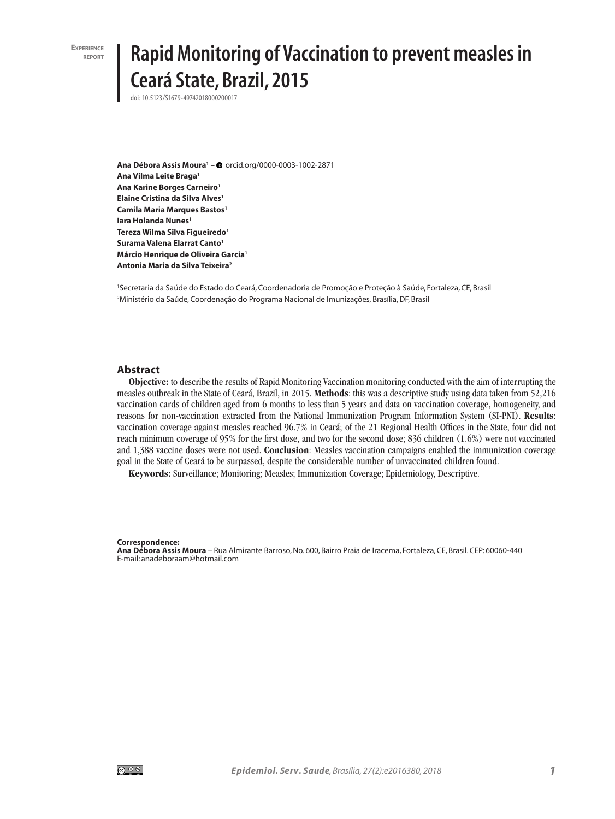**EXPERIENCE** 

# **Rapid Monitoring of Vaccination to prevent measles in Ceará State, Brazil, 2015**

doi: 10.5123/S1679-49742018000200017

**Ana Débora Assis Moura1 –** orcid.org/0000-0003-1002-2871 **Ana Vilma Leite Braga1 Ana Karine Borges Carneiro1 Elaine Cristina da Silva Alves1 Camila Maria Marques Bastos1 Iara Holanda Nunes<sup>1</sup> Tereza Wilma Silva Figueiredo1 Surama Valena Elarrat Canto1 Márcio Henrique de Oliveira Garcia1 Antonia Maria da Silva Teixeira2**

1 Secretaria da Saúde do Estado do Ceará, Coordenadoria de Promoção e Proteção à Saúde, Fortaleza, CE, Brasil 2 Ministério da Saúde, Coordenação do Programa Nacional de Imunizações, Brasília, DF, Brasil

#### **Abstract**

**Objective:** to describe the results of Rapid Monitoring Vaccination monitoring conducted with the aim of interrupting the measles outbreak in the State of Ceará, Brazil, in 2015. **Methods**: this was a descriptive study using data taken from 52,216 vaccination cards of children aged from 6 months to less than 5 years and data on vaccination coverage, homogeneity, and reasons for non-vaccination extracted from the National Immunization Program Information System (SI-PNI). **Results**: vaccination coverage against measles reached 96.7% in Ceará; of the 21 Regional Health Offices in the State, four did not reach minimum coverage of 95% for the first dose, and two for the second dose; 836 children (1.6%) were not vaccinated and 1,388 vaccine doses were not used. **Conclusion**: Measles vaccination campaigns enabled the immunization coverage goal in the State of Ceará to be surpassed, despite the considerable number of unvaccinated children found.

**Keywords:** Surveillance; Monitoring; Measles; Immunization Coverage; Epidemiology, Descriptive.

#### **Correspondence:**

**Ana Débora Assis Moura** – Rua Almirante Barroso, No. 600, Bairro Praia de Iracema, Fortaleza, CE, Brasil. CEP: 60060-440 E-mail: anadeboraam@hotmail.com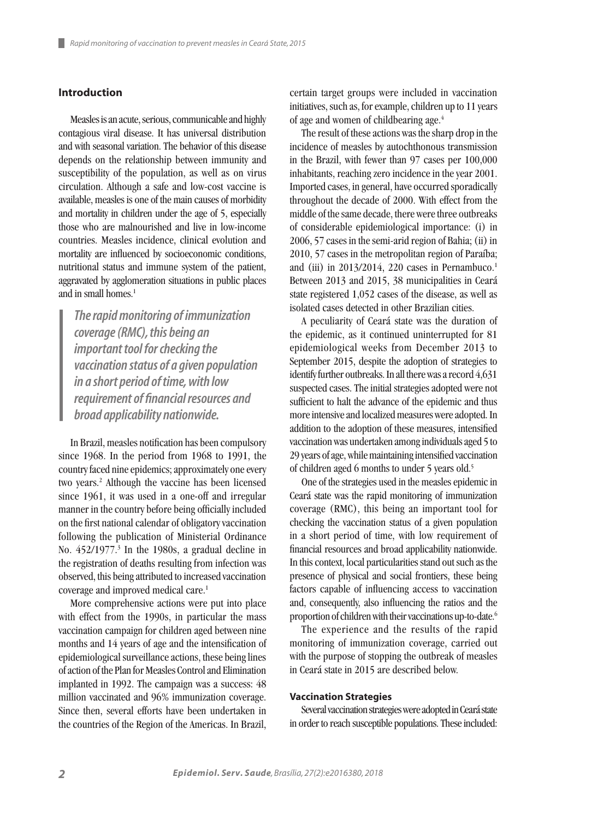# **Introduction**

Measles is an acute, serious, communicable and highly contagious viral disease. It has universal distribution and with seasonal variation. The behavior of this disease depends on the relationship between immunity and susceptibility of the population, as well as on virus circulation. Although a safe and low-cost vaccine is available, measles is one of the main causes of morbidity and mortality in children under the age of 5, especially those who are malnourished and live in low-income countries. Measles incidence, clinical evolution and mortality are influenced by socioeconomic conditions, nutritional status and immune system of the patient, aggravated by agglomeration situations in public places and in small homes.<sup>1</sup>

*The rapid monitoring of immunization coverage (RMC), this being an important tool for checking the vaccination status of a given population in a short period of time, with low requirement of financial resources and broad applicability nationwide.* 

In Brazil, measles notification has been compulsory since 1968. In the period from 1968 to 1991, the country faced nine epidemics; approximately one every two years.2 Although the vaccine has been licensed since 1961, it was used in a one-off and irregular manner in the country before being officially included on the first national calendar of obligatory vaccination following the publication of Ministerial Ordinance No. 452/1977.<sup>3</sup> In the 1980s, a gradual decline in the registration of deaths resulting from infection was observed, this being attributed to increased vaccination coverage and improved medical care.<sup>1</sup>

More comprehensive actions were put into place with effect from the 1990s, in particular the mass vaccination campaign for children aged between nine months and 14 years of age and the intensification of epidemiological surveillance actions, these being lines of action of the Plan for Measles Control and Elimination implanted in 1992. The campaign was a success: 48 million vaccinated and 96% immunization coverage. Since then, several efforts have been undertaken in the countries of the Region of the Americas. In Brazil, certain target groups were included in vaccination initiatives, such as, for example, children up to 11 years of age and women of childbearing age.4

The result of these actions was the sharp drop in the incidence of measles by autochthonous transmission in the Brazil, with fewer than 97 cases per 100,000 inhabitants, reaching zero incidence in the year 2001. Imported cases, in general, have occurred sporadically throughout the decade of 2000. With effect from the middle of the same decade, there were three outbreaks of considerable epidemiological importance: (i) in 2006, 57 cases in the semi-arid region of Bahia; (ii) in 2010, 57 cases in the metropolitan region of Paraíba; and (iii) in  $2013/2014$ , 220 cases in Pernambuco.<sup>1</sup> Between 2013 and 2015, 38 municipalities in Ceará state registered 1,052 cases of the disease, as well as isolated cases detected in other Brazilian cities.

A peculiarity of Ceará state was the duration of the epidemic, as it continued uninterrupted for 81 epidemiological weeks from December 2013 to September 2015, despite the adoption of strategies to identify further outbreaks. In all there was a record 4,631 suspected cases. The initial strategies adopted were not sufficient to halt the advance of the epidemic and thus more intensive and localized measures were adopted. In addition to the adoption of these measures, intensified vaccination was undertaken among individuals aged 5 to 29 years of age, while maintaining intensified vaccination of children aged 6 months to under 5 years old.5

One of the strategies used in the measles epidemic in Ceará state was the rapid monitoring of immunization coverage (RMC), this being an important tool for checking the vaccination status of a given population in a short period of time, with low requirement of financial resources and broad applicability nationwide. In this context, local particularities stand out such as the presence of physical and social frontiers, these being factors capable of influencing access to vaccination and, consequently, also influencing the ratios and the proportion of children with their vaccinations up-to-date.<sup>6</sup>

The experience and the results of the rapid monitoring of immunization coverage, carried out with the purpose of stopping the outbreak of measles in Ceará state in 2015 are described below.

### **Vaccination Strategies**

Several vaccination strategies were adopted in Ceará state in order to reach susceptible populations. These included: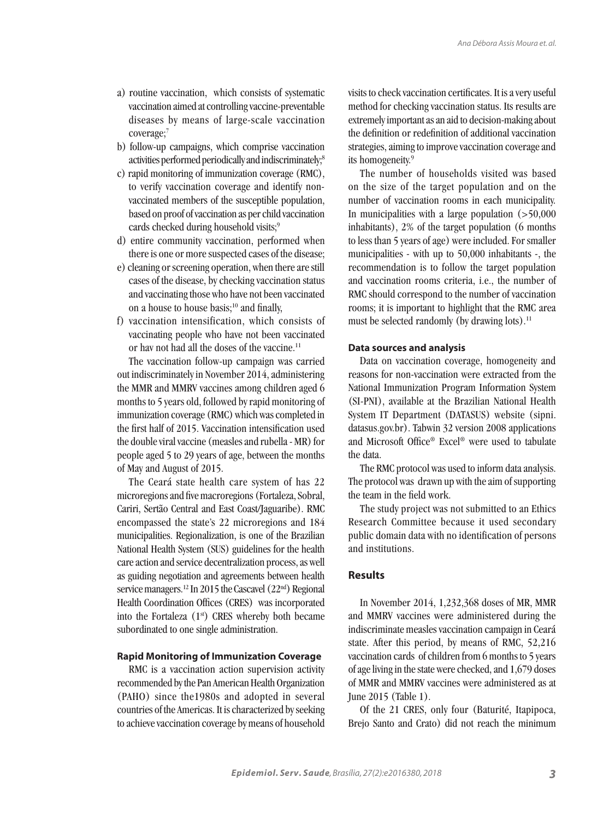- a) routine vaccination, which consists of systematic vaccination aimed at controlling vaccine-preventable diseases by means of large-scale vaccination coverage;<sup>7</sup>
- b) follow-up campaigns, which comprise vaccination activities performed periodically and indiscriminately;<sup>8</sup>
- c) rapid monitoring of immunization coverage (RMC), to verify vaccination coverage and identify nonvaccinated members of the susceptible population, based on proof of vaccination as per child vaccination cards checked during household visits;9
- d) entire community vaccination, performed when there is one or more suspected cases of the disease;
- e) cleaning or screening operation, when there are still cases of the disease, by checking vaccination status and vaccinating those who have not been vaccinated on a house to house basis;<sup>10</sup> and finally,
- f) vaccination intensification, which consists of vaccinating people who have not been vaccinated or hav not had all the doses of the vaccine.11

The vaccination follow-up campaign was carried out indiscriminately in November 2014, administering the MMR and MMRV vaccines among children aged 6 months to 5 years old, followed by rapid monitoring of immunization coverage (RMC) which was completed in the first half of 2015. Vaccination intensification used the double viral vaccine (measles and rubella - MR) for people aged 5 to 29 years of age, between the months of May and August of 2015.

The Ceará state health care system of has 22 microregions and five macroregions (Fortaleza, Sobral, Cariri, Sertão Central and East Coast/Jaguaribe). RMC encompassed the state's 22 microregions and 184 municipalities. Regionalization, is one of the Brazilian National Health System (SUS) guidelines for the health care action and service decentralization process, as well as guiding negotiation and agreements between health service managers.<sup>12</sup> In 2015 the Cascavel (22<sup>nd</sup>) Regional Health Coordination Offices (CRES) was incorporated into the Fortaleza  $(1<sup>st</sup>)$  CRES whereby both became subordinated to one single administration.

#### **Rapid Monitoring of Immunization Coverage**

RMC is a vaccination action supervision activity recommended by the Pan American Health Organization (PAHO) since the1980s and adopted in several countries of the Americas. It is characterized by seeking to achieve vaccination coverage by means of household visits to check vaccination certificates. It is a very useful method for checking vaccination status. Its results are extremely important as an aid to decision-making about the definition or redefinition of additional vaccination strategies, aiming to improve vaccination coverage and its homogeneity.9

The number of households visited was based on the size of the target population and on the number of vaccination rooms in each municipality. In municipalities with a large population  $($ >50,000 inhabitants), 2% of the target population (6 months to less than 5 years of age) were included. For smaller municipalities - with up to 50,000 inhabitants -, the recommendation is to follow the target population and vaccination rooms criteria, i.e., the number of RMC should correspond to the number of vaccination rooms; it is important to highlight that the RMC area must be selected randomly (by drawing lots).<sup>11</sup>

#### **Data sources and analysis**

Data on vaccination coverage, homogeneity and reasons for non-vaccination were extracted from the National Immunization Program Information System (SI-PNI), available at the Brazilian National Health System IT Department (DATASUS) website (sipni. datasus.gov.br). Tabwin 32 version 2008 applications and Microsoft Office® Excel® were used to tabulate the data.

The RMC protocol was used to inform data analysis. The protocol was drawn up with the aim of supporting the team in the field work.

The study project was not submitted to an Ethics Research Committee because it used secondary public domain data with no identification of persons and institutions.

# **Results**

In November 2014, 1,232,368 doses of MR, MMR and MMRV vaccines were administered during the indiscriminate measles vaccination campaign in Ceará state. After this period, by means of RMC, 52,216 vaccination cards of children from 6 months to 5 years of age living in the state were checked, and 1,679 doses of MMR and MMRV vaccines were administered as at June 2015 (Table 1).

Of the 21 CRES, only four (Baturité, Itapipoca, Brejo Santo and Crato) did not reach the minimum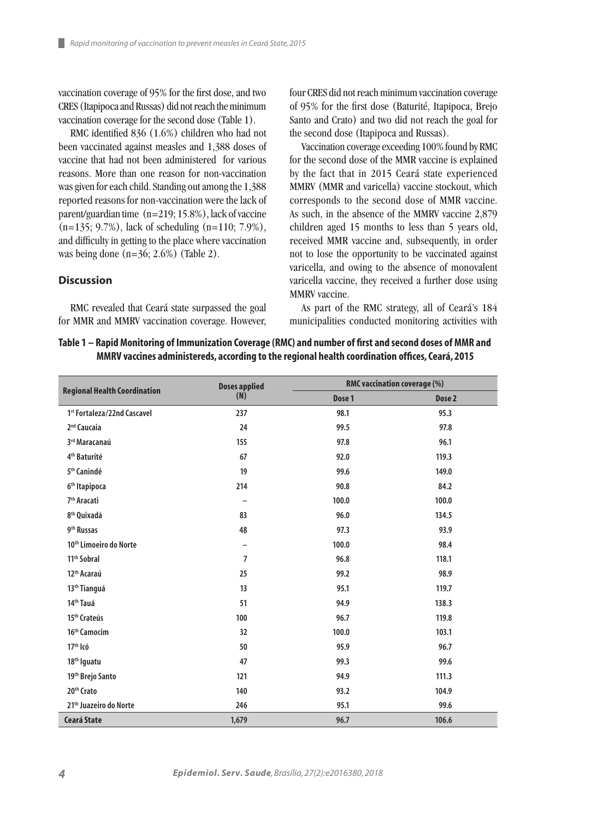vaccination coverage of 95% for the first dose, and two CRES (Itapipoca and Russas) did not reach the minimum vaccination coverage for the second dose (Table 1).

RMC identified 836 (1.6%) children who had not been vaccinated against measles and 1,388 doses of vaccine that had not been administered for various reasons. More than one reason for non-vaccination was given for each child. Standing out among the 1,388 reported reasons for non-vaccination were the lack of parent/guardian time (n=219; 15.8%), lack of vaccine (n=135; 9.7%), lack of scheduling (n=110; 7.9%), and difficulty in getting to the place where vaccination was being done (n=36; 2.6%) (Table 2).

#### **Discussion**

RMC revealed that Ceará state surpassed the goal for MMR and MMRV vaccination coverage. However, four CRES did not reach minimum vaccination coverage of 95% for the first dose (Baturité, Itapipoca, Brejo Santo and Crato) and two did not reach the goal for the second dose (Itapipoca and Russas).

Vaccination coverage exceeding 100% found by RMC for the second dose of the MMR vaccine is explained by the fact that in 2015 Ceará state experienced MMRV (MMR and varicella) vaccine stockout, which corresponds to the second dose of MMR vaccine. As such, in the absence of the MMRV vaccine 2,879 children aged 15 months to less than 5 years old, received MMR vaccine and, subsequently, in order not to lose the opportunity to be vaccinated against varicella, and owing to the absence of monovalent varicella vaccine, they received a further dose using MMRV vaccine.

As part of the RMC strategy, all of Ceará's 184 municipalities conducted monitoring activities with

# **Table 1 – Rapid Monitoring of Immunization Coverage (RMC) and number of first and second doses of MMR and MMRV vaccines administereds, according to the regional health coordination offices, Ceará, 2015**

|                                         | <b>Doses applied</b><br>(N) | RMC vaccination coverage (%) |                   |
|-----------------------------------------|-----------------------------|------------------------------|-------------------|
| <b>Regional Health Coordination</b>     |                             | Dose 1                       | Dose <sub>2</sub> |
| 1 <sup>st</sup> Fortaleza/22nd Cascavel | 237                         | 98.1                         | 95.3              |
| 2 <sup>nd</sup> Caucaia                 | 24                          | 99.5                         | 97.8              |
| 3rd Maracanaú                           | 155                         | 97.8                         | 96.1              |
| 4 <sup>th</sup> Baturité                | 67                          | 92.0                         | 119.3             |
| 5 <sup>th</sup> Canindé                 | 19                          | 99.6                         | 149.0             |
| 6 <sup>th</sup> Itapipoca               | 214                         | 90.8                         | 84.2              |
| 7 <sup>th</sup> Aracati                 | $\overline{\phantom{0}}$    | 100.0                        | 100.0             |
| 8 <sup>th</sup> Quixadá                 | 83                          | 96.0                         | 134.5             |
| 9 <sup>th</sup> Russas                  | 48                          | 97.3                         | 93.9              |
| 10 <sup>th</sup> Limoeiro do Norte      | -                           | 100.0                        | 98.4              |
| 11 <sup>th</sup> Sobral                 | $\overline{7}$              | 96.8                         | 118.1             |
| 12 <sup>th</sup> Acaraú                 | 25                          | 99.2                         | 98.9              |
| 13 <sup>th</sup> Tianguá                | 13                          | 95.1                         | 119.7             |
| 14 <sup>th</sup> Tauá                   | 51                          | 94.9                         | 138.3             |
| 15 <sup>th</sup> Crateús                | 100                         | 96.7                         | 119.8             |
| 16 <sup>th</sup> Camocim                | 32                          | 100.0                        | 103.1             |
| 17 <sup>th</sup> Icó                    | 50                          | 95.9                         | 96.7              |
| 18 <sup>th</sup> Iguatu                 | 47                          | 99.3                         | 99.6              |
| 19 <sup>th</sup> Brejo Santo            | 121                         | 94.9                         | 111.3             |
| 20 <sup>th</sup> Crato                  | 140                         | 93.2                         | 104.9             |
| 21 <sup>th</sup> Juazeiro do Norte      | 246                         | 95.1                         | 99.6              |
| <b>Ceará State</b>                      | 1,679                       | 96.7                         | 106.6             |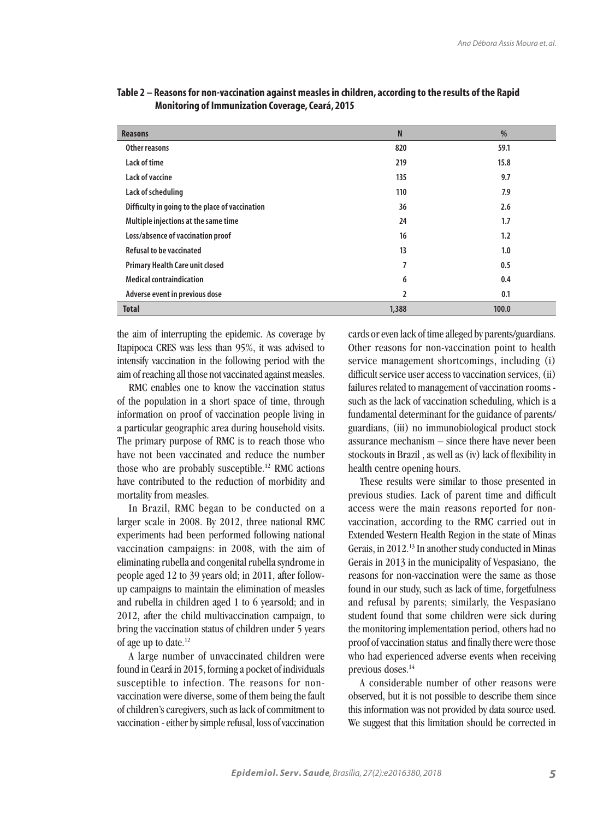| <b>Reasons</b>                                  | N     | $\frac{0}{0}$ |
|-------------------------------------------------|-------|---------------|
| Other reasons                                   | 820   | 59.1          |
| Lack of time                                    | 219   | 15.8          |
| Lack of vaccine                                 | 135   | 9.7           |
| Lack of scheduling                              | 110   | 7.9           |
| Difficulty in going to the place of vaccination | 36    | 2.6           |
| Multiple injections at the same time            | 24    | 1.7           |
| Loss/absence of vaccination proof               | 16    | 1.2           |
| <b>Refusal to be vaccinated</b>                 | 13    | 1.0           |
| <b>Primary Health Care unit closed</b>          | 7     | 0.5           |
| <b>Medical contraindication</b>                 | 6     | 0.4           |
| Adverse event in previous dose                  | 2     | 0.1           |
| <b>Total</b>                                    | 1,388 | 100.0         |

|                                                         | Table 2 – Reasons for non-vaccination against measles in children, according to the results of the Rapid |
|---------------------------------------------------------|----------------------------------------------------------------------------------------------------------|
| <b>Monitoring of Immunization Coverage, Ceará, 2015</b> |                                                                                                          |

the aim of interrupting the epidemic. As coverage by Itapipoca CRES was less than 95%, it was advised to intensify vaccination in the following period with the aim of reaching all those not vaccinated against measles.

RMC enables one to know the vaccination status of the population in a short space of time, through information on proof of vaccination people living in a particular geographic area during household visits. The primary purpose of RMC is to reach those who have not been vaccinated and reduce the number those who are probably susceptible.<sup>12</sup> RMC actions have contributed to the reduction of morbidity and mortality from measles.

In Brazil, RMC began to be conducted on a larger scale in 2008. By 2012, three national RMC experiments had been performed following national vaccination campaigns: in 2008, with the aim of eliminating rubella and congenital rubella syndrome in people aged 12 to 39 years old; in 2011, after followup campaigns to maintain the elimination of measles and rubella in children aged 1 to 6 yearsold; and in 2012, after the child multivaccination campaign, to bring the vaccination status of children under 5 years of age up to date.12

A large number of unvaccinated children were found in Ceará in 2015, forming a pocket of individuals susceptible to infection. The reasons for nonvaccination were diverse, some of them being the fault of children's caregivers, such as lack of commitment to vaccination - either by simple refusal, loss of vaccination

cards or even lack of time alleged by parents/guardians. Other reasons for non-vaccination point to health service management shortcomings, including (i) difficult service user access to vaccination services, (ii) failures related to management of vaccination rooms such as the lack of vaccination scheduling, which is a fundamental determinant for the guidance of parents/ guardians, (iii) no immunobiological product stock assurance mechanism – since there have never been stockouts in Brazil , as well as (iv) lack of flexibility in health centre opening hours.

These results were similar to those presented in previous studies. Lack of parent time and difficult access were the main reasons reported for nonvaccination, according to the RMC carried out in Extended Western Health Region in the state of Minas Gerais, in 2012.13 In another study conducted in Minas Gerais in 2013 in the municipality of Vespasiano, the reasons for non-vaccination were the same as those found in our study, such as lack of time, forgetfulness and refusal by parents; similarly, the Vespasiano student found that some children were sick during the monitoring implementation period, others had no proof of vaccination status and finally there were those who had experienced adverse events when receiving previous doses.14

A considerable number of other reasons were observed, but it is not possible to describe them since this information was not provided by data source used. We suggest that this limitation should be corrected in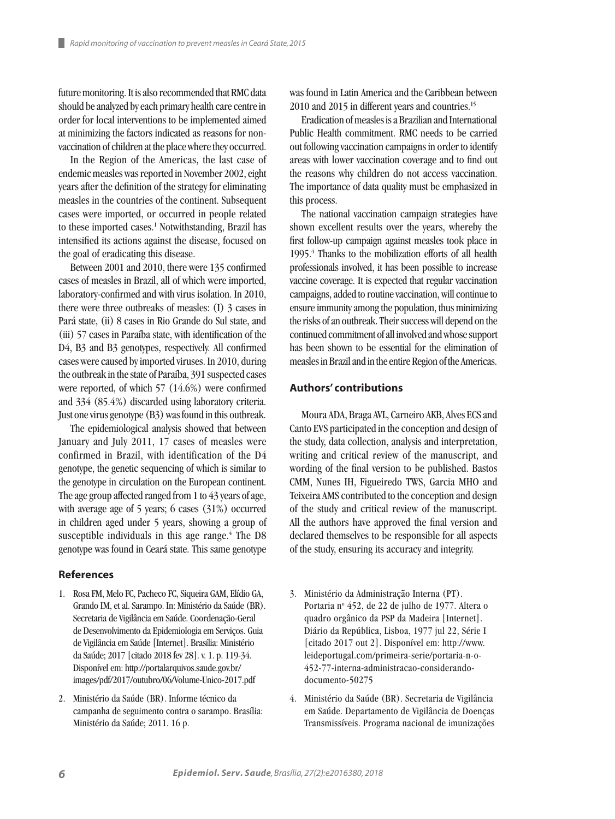future monitoring. It is also recommended that RMC data should be analyzed by each primary health care centre in order for local interventions to be implemented aimed at minimizing the factors indicated as reasons for nonvaccination of children at the place where they occurred.

In the Region of the Americas, the last case of endemic measles was reported in November 2002, eight years after the definition of the strategy for eliminating measles in the countries of the continent. Subsequent cases were imported, or occurred in people related to these imported cases.<sup>1</sup> Notwithstanding, Brazil has intensified its actions against the disease, focused on the goal of eradicating this disease.

Between 2001 and 2010, there were 135 confirmed cases of measles in Brazil, all of which were imported, laboratory-confirmed and with virus isolation. In 2010, there were three outbreaks of measles: (I) 3 cases in Pará state, (ii) 8 cases in Rio Grande do Sul state, and (iii) 57 cases in Paraíba state, with identification of the D4, B3 and B3 genotypes, respectively. All confirmed cases were caused by imported viruses. In 2010, during the outbreak in the state of Paraíba, 391 suspected cases were reported, of which 57 (14.6%) were confirmed and 334 (85.4%) discarded using laboratory criteria. Just one virus genotype (B3) was found in this outbreak.

The epidemiological analysis showed that between January and July 2011, 17 cases of measles were confirmed in Brazil, with identification of the D4 genotype, the genetic sequencing of which is similar to the genotype in circulation on the European continent. The age group affected ranged from 1 to 43 years of age, with average age of 5 years; 6 cases (31%) occurred in children aged under 5 years, showing a group of susceptible individuals in this age range. $4$  The D8 genotype was found in Ceará state. This same genotype

# **References**

- 1. Rosa FM, Melo FC, Pacheco FC, Siqueira GAM, Elídio GA, Grando IM, et al. Sarampo. In: Ministério da Saúde (BR). Secretaria de Vigilância em Saúde. Coordenação-Geral de Desenvolvimento da Epidemiologia em Serviços. Guia de Vigilância em Saúde [Internet]. Brasília: Ministério da Saúde; 2017 [citado 2018 fev 28]. v. 1. p. 119-34. Disponível em: http://portalarquivos.saude.gov.br/ images/pdf/2017/outubro/06/Volume-Unico-2017.pdf
- 2. Ministério da Saúde (BR). Informe técnico da campanha de seguimento contra o sarampo. Brasília: Ministério da Saúde; 2011. 16 p.

was found in Latin America and the Caribbean between 2010 and 2015 in different years and countries.<sup>15</sup>

Eradication of measles is a Brazilian and International Public Health commitment. RMC needs to be carried out following vaccination campaigns in order to identify areas with lower vaccination coverage and to find out the reasons why children do not access vaccination. The importance of data quality must be emphasized in this process.

The national vaccination campaign strategies have shown excellent results over the years, whereby the first follow-up campaign against measles took place in 1995.4 Thanks to the mobilization efforts of all health professionals involved, it has been possible to increase vaccine coverage. It is expected that regular vaccination campaigns, added to routine vaccination, will continue to ensure immunity among the population, thus minimizing the risks of an outbreak. Their success will depend on the continued commitment of all involved and whose support has been shown to be essential for the elimination of measles in Brazil and in the entire Region of the Americas.

### **Authors' contributions**

Moura ADA, Braga AVL, Carneiro AKB, Alves ECS and Canto EVS participated in the conception and design of the study, data collection, analysis and interpretation, writing and critical review of the manuscript, and wording of the final version to be published. Bastos CMM, Nunes IH, Figueiredo TWS, Garcia MHO and Teixeira AMS contributed to the conception and design of the study and critical review of the manuscript. All the authors have approved the final version and declared themselves to be responsible for all aspects of the study, ensuring its accuracy and integrity.

- 3. Ministério da Administração Interna (PT). Portaria nº 452, de 22 de julho de 1977. Altera o quadro orgânico da PSP da Madeira [Internet]. Diário da República, Lisboa, 1977 jul 22, Série I [citado 2017 out 2]. Disponível em: http://www. leideportugal.com/primeira-serie/portaria-n-o-452-77-interna-administracao-considerandodocumento-50275
- 4. Ministério da Saúde (BR). Secretaria de Vigilância em Saúde. Departamento de Vigilância de Doenças Transmissíveis. Programa nacional de imunizações